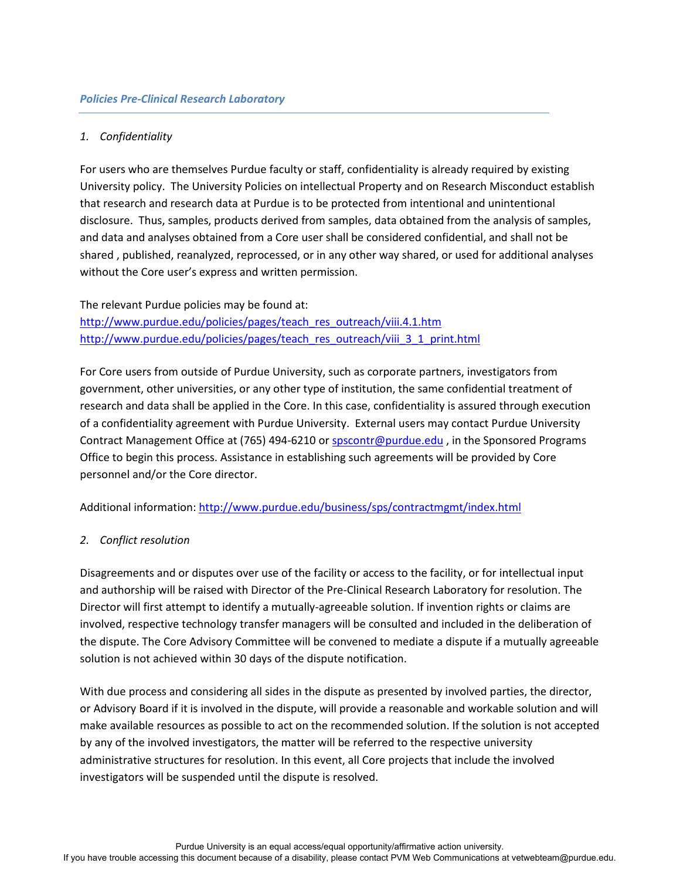## *1. Confidentiality*

For users who are themselves Purdue faculty or staff, confidentiality is already required by existing University policy. The University Policies on intellectual Property and on Research Misconduct establish that research and research data at Purdue is to be protected from intentional and unintentional disclosure. Thus, samples, products derived from samples, data obtained from the analysis of samples, and data and analyses obtained from a Core user shall be considered confidential, and shall not be shared , published, reanalyzed, reprocessed, or in any other way shared, or used for additional analyses without the Core user's express and written permission.

The relevant Purdue policies may be found at: [http://www.purdue.edu/policies/pages/teach\\_res\\_outreach/viii.4.1.htm](http://www.purdue.edu/policies/pages/teach_res_outreach/viii.4.1.htm) [http://www.purdue.edu/policies/pages/teach\\_res\\_outreach/viii\\_3\\_1\\_print.html](http://www.purdue.edu/policies/pages/teach_res_outreach/viii_3_1_print.html)

For Core users from outside of Purdue University, such as corporate partners, investigators from government, other universities, or any other type of institution, the same confidential treatment of research and data shall be applied in the Core. In this case, confidentiality is assured through execution of a confidentiality agreement with Purdue University. External users may contact Purdue University Contract Management Office at (765) 494-6210 or [spscontr@purdue.edu](mailto:spscontr@purdue.edu), in the Sponsored Programs Office to begin this process. Assistance in establishing such agreements will be provided by Core personnel and/or the Core director.

Additional information: <http://www.purdue.edu/business/sps/contractmgmt/index.html>

### *2. Conflict resolution*

Disagreements and or disputes over use of the facility or access to the facility, or for intellectual input and authorship will be raised with Director of the Pre-Clinical Research Laboratory for resolution. The Director will first attempt to identify a mutually-agreeable solution. If invention rights or claims are involved, respective technology transfer managers will be consulted and included in the deliberation of the dispute. The Core Advisory Committee will be convened to mediate a dispute if a mutually agreeable solution is not achieved within 30 days of the dispute notification.

With due process and considering all sides in the dispute as presented by involved parties, the director, or Advisory Board if it is involved in the dispute, will provide a reasonable and workable solution and will make available resources as possible to act on the recommended solution. If the solution is not accepted by any of the involved investigators, the matter will be referred to the respective university administrative structures for resolution. In this event, all Core projects that include the involved investigators will be suspended until the dispute is resolved.